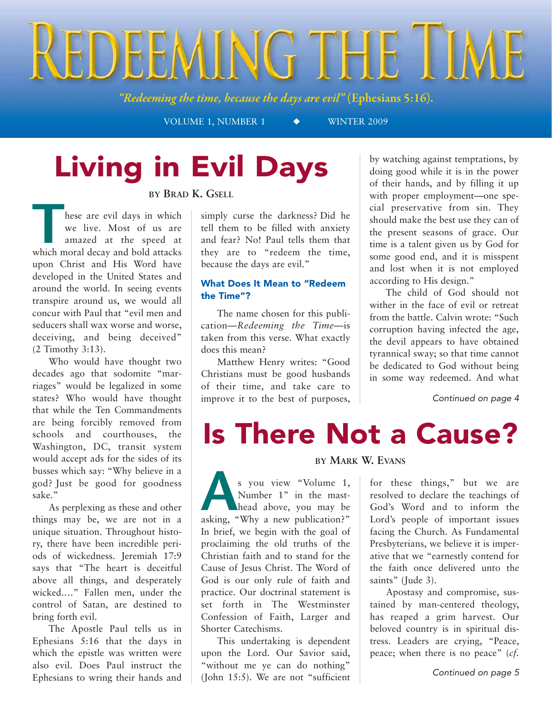# DEEMING THE TI

*"Redeeming the time, because the days are evil"* **(Ephesians 5:16).**

VOLUME 1, NUMBER 1 → WINTER 2009

# Living in Evil Days

**BY BRAD K. GSELL**

**THESE ARRY ENDINEER SERVIES AND THE MORE ARRY AND THE MORE AND THE MORE AND THE MORE AND THE MORE AND THE MORE AND THE MORE AND THE MORE AND THE MORE AND THE MORE AND THE MORE AND THE MORE AND THE MORE AND THE MORE AND TH** we live. Most of us are amazed at the speed at upon Christ and His Word have developed in the United States and around the world. In seeing events transpire around us, we would all concur with Paul that "evil men and seducers shall wax worse and worse, deceiving, and being deceived" (2 Timothy 3:13).

Who would have thought two decades ago that sodomite "marriages" would be legalized in some states? Who would have thought that while the Ten Commandments are being forcibly removed from schools and courthouses, the Washington, DC, transit system would accept ads for the sides of its busses which say: "Why believe in a god? Just be good for goodness sake."

As perplexing as these and other things may be, we are not in a unique situation. Throughout history, there have been incredible periods of wickedness. Jeremiah 17:9 says that "The heart is deceitful above all things, and desperately wicked.…" Fallen men, under the control of Satan, are destined to bring forth evil.

The Apostle Paul tells us in Ephesians 5:16 that the days in which the epistle was written were also evil. Does Paul instruct the Ephesians to wring their hands and

simply curse the darkness? Did he tell them to be filled with anxiety and fear? No! Paul tells them that they are to "redeem the time, because the days are evil."

#### What Does It Mean to "Redeem the Time"?

The name chosen for this publication—*Redeeming the Time*—is taken from this verse. What exactly does this mean?

Matthew Henry writes: "Good Christians must be good husbands of their time, and take care to improve it to the best of purposes,

by watching against temptations, by doing good while it is in the power of their hands, and by filling it up with proper employment—one special preservative from sin. They should make the best use they can of the present seasons of grace. Our time is a talent given us by God for some good end, and it is misspent and lost when it is not employed according to His design."

The child of God should not wither in the face of evil or retreat from the battle. Calvin wrote: "Such corruption having infected the age, the devil appears to have obtained tyrannical sway; so that time cannot be dedicated to God without being in some way redeemed. And what

Continued on page 4

### Is There Not a Cause?

S you view "Volume 1,<br>Number 1" in the mast-<br>head above, you may be<br>asking, "Why a new publication?" Number 1" in the masthead above, you may be asking, "Why a new publication?" In brief, we begin with the goal of proclaiming the old truths of the Christian faith and to stand for the Cause of Jesus Christ. The Word of God is our only rule of faith and practice. Our doctrinal statement is set forth in The Westminster Confession of Faith, Larger and Shorter Catechisms.

This undertaking is dependent upon the Lord. Our Savior said, "without me ye can do nothing" (John 15:5). We are not "sufficient

#### **BY MARK W. EVANS**

for these things," but we are resolved to declare the teachings of God's Word and to inform the Lord's people of important issues facing the Church. As Fundamental Presbyterians, we believe it is imperative that we "earnestly contend for the faith once delivered unto the saints" (Jude 3).

Apostasy and compromise, sustained by man-centered theology, has reaped a grim harvest. Our beloved country is in spiritual distress. Leaders are crying, "Peace, peace; when there is no peace" (*cf.*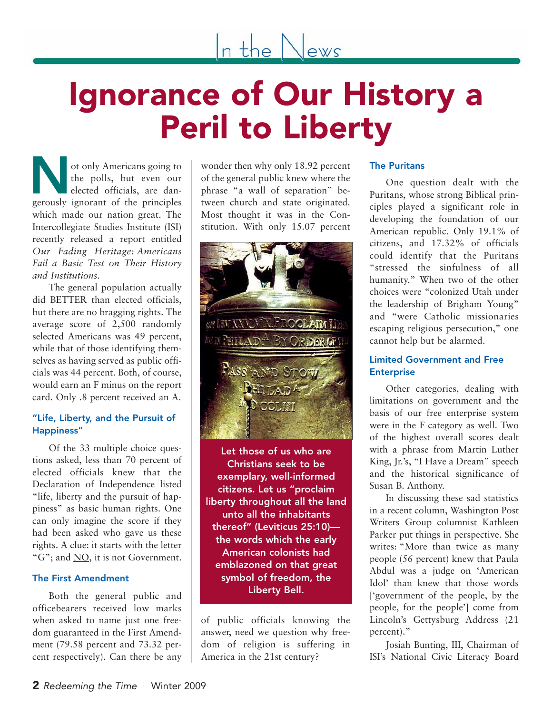## $n$  the News

# Ignorance of Our History a Peril to Liberty

ot only Americans going to<br>the polls, but even our<br>elected officials, are dan-<br>gerously ignorant of the principles the polls, but even our elected officials, are danwhich made our nation great. The Intercollegiate Studies Institute (ISI) recently released a report entitled *Our Fading Heritage: Americans Fail a Basic Test on Their History and Institutions.*

The general population actually did BETTER than elected officials, but there are no bragging rights. The average score of 2,500 randomly selected Americans was 49 percent, while that of those identifying themselves as having served as public officials was 44 percent. Both, of course, would earn an F minus on the report card. Only .8 percent received an A.

#### "Life, Liberty, and the Pursuit of Happiness"

Of the 33 multiple choice questions asked, less than 70 percent of elected officials knew that the Declaration of Independence listed "life, liberty and the pursuit of happiness" as basic human rights. One can only imagine the score if they had been asked who gave us these rights. A clue: it starts with the letter "G"; and NO, it is not Government.

#### The First Amendment

Both the general public and officebearers received low marks when asked to name just one freedom guaranteed in the First Amendment (79.58 percent and 73.32 percent respectively). Can there be any wonder then why only 18.92 percent of the general public knew where the phrase "a wall of separation" be tween church and state originated. Most thought it was in the Constitution. With only 15.07 percent



Let those of us who are Christians seek to be exemplary, well-informed citizens. Let us "proclaim liberty throughout all the land unto all the inhabitants thereof" (Leviticus 25:10) the words which the early American colonists had emblazoned on that great symbol of freedom, the Liberty Bell.

of public officials knowing the answer, need we question why freedom of religion is suffering in America in the 21st century?

#### The Puritans

One question dealt with the Puritans, whose strong Biblical principles played a significant role in developing the foundation of our American republic. Only 19.1% of citizens, and 17.32% of officials could identify that the Puritans "stressed the sinfulness of all humanity." When two of the other choices were "colonized Utah under the leadership of Brigham Young" and "were Catholic missionaries escaping religious persecution," one cannot help but be alarmed.

#### Limited Government and Free **Enterprise**

Other categories, dealing with limitations on government and the basis of our free enterprise system were in the F category as well. Two of the highest overall scores dealt with a phrase from Martin Luther King, Jr.'s, "I Have a Dream" speech and the historical significance of Susan B. Anthony.

In discussing these sad statistics in a recent column, Washington Post Writers Group columnist Kathleen Parker put things in perspective. She writes: "More than twice as many people (56 percent) knew that Paula Abdul was a judge on 'American Idol' than knew that those words ['government of the people, by the people, for the people'] come from Lincoln's Gettysburg Address (21 percent)."

Josiah Bunting, III, Chairman of ISI's National Civic Literacy Board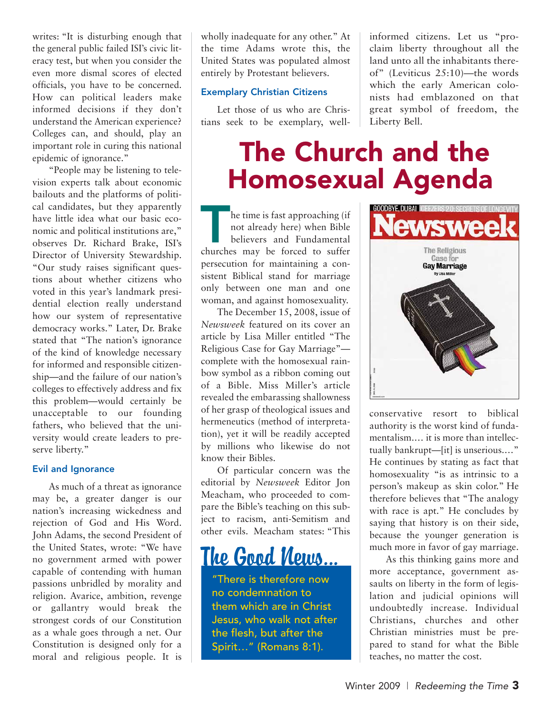writes: "It is disturbing enough that the general public failed ISI's civic literacy test, but when you consider the even more dismal scores of elected officials, you have to be concerned. How can political leaders make informed decisions if they don't understand the American experience? Colleges can, and should, play an important role in curing this national epidemic of ignorance."

"People may be listening to television experts talk about economic bailouts and the platforms of political candidates, but they apparently have little idea what our basic economic and political institutions are," observes Dr. Richard Brake, ISI's Director of University Stewardship. "Our study raises significant questions about whether citizens who voted in this year's landmark presidential election really understand how our system of representative democracy works." Later, Dr. Brake stated that "The nation's ignorance of the kind of knowledge necessary for informed and responsible citizenship—and the failure of our nation's colleges to effectively address and fix this problem—would certainly be unacceptable to our founding fathers, who believed that the university would create leaders to preserve liberty."

#### Evil and Ignorance

As much of a threat as ignorance may be, a greater danger is our nation's increasing wickedness and rejection of God and His Word. John Adams, the second President of the United States, wrote: "We have no government armed with power capable of contending with human passions unbridled by morality and religion. Avarice, ambition, revenge or gallantry would break the strongest cords of our Constitution as a whale goes through a net. Our Constitution is designed only for a moral and religious people. It is wholly inadequate for any other." At the time Adams wrote this, the United States was populated almost entirely by Protestant believers.

#### Exemplary Christian Citizens

Let those of us who are Christians seek to be exemplary, wellinformed citizens. Let us "proclaim liberty throughout all the land unto all the inhabitants thereof" (Leviticus 25:10)—the words which the early American colonists had emblazoned on that great symbol of freedom, the Liberty Bell.

### The Church and the Homosexual Agenda

The time is fast approaching (if<br>
not already here) when Bible<br>
believers and Fundamental<br>
churches may be forced to suffer not already here) when Bible believers and Fundamental persecution for maintaining a consistent Biblical stand for marriage only between one man and one woman, and against homosexuality.

The December 15, 2008, issue of *Newsweek* featured on its cover an article by Lisa Miller entitled "The Religious Case for Gay Marriage" complete with the homosexual rainbow symbol as a ribbon coming out of a Bible. Miss Miller's article revealed the embarassing shallowness of her grasp of theological issues and hermeneutics (method of interpretation), yet it will be readily accepted by millions who likewise do not know their Bibles.

Of particular concern was the editorial by *Newsweek* Editor Jon Meacham, who proceeded to compare the Bible's teaching on this subject to racism, anti-Semitism and other evils. Meacham states: "This

### The Good News...

"There is therefore now no condemnation to them which are in Christ Jesus, who walk not after the flesh, but after the Spirit…" (Romans 8:1).



conservative resort to biblical authority is the worst kind of fundamentalism.… it is more than intellectually bankrupt—[it] is unserious.…" He continues by stating as fact that homosexuality "is as intrinsic to a person's makeup as skin color." He therefore believes that "The analogy with race is apt." He concludes by saying that history is on their side, because the younger generation is much more in favor of gay marriage.

As this thinking gains more and more acceptance, government assaults on liberty in the form of legislation and judicial opinions will undoubtedly increase. Individual Christians, churches and other Christian ministries must be prepared to stand for what the Bible teaches, no matter the cost.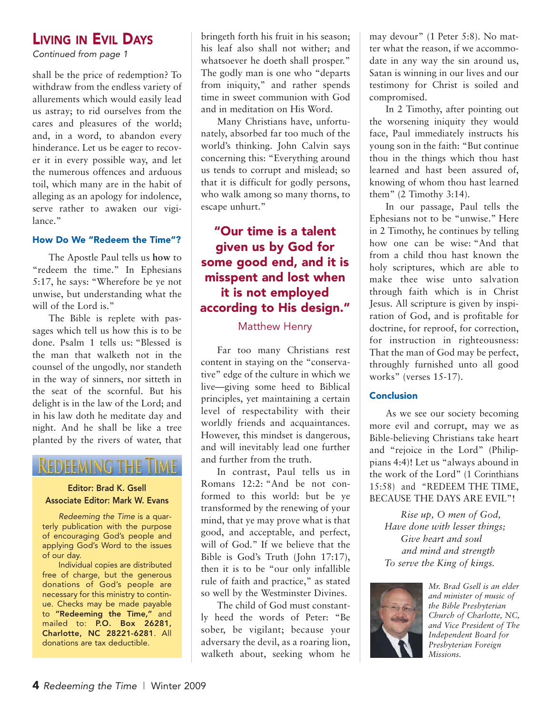#### LIVING IN EVIL DAYS

Continued from page 1

shall be the price of redemption? To withdraw from the endless variety of allurements which would easily lead us astray; to rid ourselves from the cares and pleasures of the world; and, in a word, to abandon every hinderance. Let us be eager to recover it in every possible way, and let the numerous offences and arduous toil, which many are in the habit of alleging as an apology for indolence, serve rather to awaken our vigilance."

#### How Do We "Redeem the Time"?

The Apostle Paul tells us **how** to "redeem the time." In Ephesians 5:17, he says: "Wherefore be ye not unwise, but understanding what the will of the Lord is."

The Bible is replete with passages which tell us how this is to be done. Psalm 1 tells us: "Blessed is the man that walketh not in the counsel of the ungodly, nor standeth in the way of sinners, nor sitteth in the seat of the scornful. But his delight is in the law of the Lord; and in his law doth he meditate day and night. And he shall be like a tree planted by the rivers of water, that

### EDEEMING THE

#### Editor: Brad K. Gsell Associate Editor: Mark W. Evans

Redeeming the Time is a quarterly publication with the purpose of encouraging God's people and applying God's Word to the issues of our day.

Individual copies are distributed free of charge, but the generous donations of God's people are necessary for this ministry to continue. Checks may be made payable to "Redeeming the Time," and mailed to: P.O. Box 26281, Charlotte, NC 28221-6281. All donations are tax deductible.

bringeth forth his fruit in his season; his leaf also shall not wither; and whatsoever he doeth shall prosper." The godly man is one who "departs from iniquity," and rather spends time in sweet communion with God and in meditation on His Word.

Many Christians have, unfortunately, absorbed far too much of the world's thinking. John Calvin says concerning this: "Everything around us tends to corrupt and mislead; so that it is difficult for godly persons, who walk among so many thorns, to escape unhurt."

#### "Our time is a talent given us by God for some good end, and it is misspent and lost when it is not employed according to His design."

#### Matthew Henry

Far too many Christians rest content in staying on the "conservative" edge of the culture in which we live—giving some heed to Biblical principles, yet maintaining a certain level of respectability with their worldly friends and acquaintances. However, this mindset is dangerous, and will inevitably lead one further and further from the truth.

In contrast, Paul tells us in Romans 12:2: "And be not conformed to this world: but be ye transformed by the renewing of your mind, that ye may prove what is that good, and acceptable, and perfect, will of God." If we believe that the Bible is God's Truth (John 17:17), then it is to be "our only infallible rule of faith and practice," as stated so well by the Westminster Divines.

The child of God must constantly heed the words of Peter: "Be sober, be vigilant; because your adversary the devil, as a roaring lion, walketh about, seeking whom he may devour" (1 Peter 5:8). No matter what the reason, if we accommodate in any way the sin around us, Satan is winning in our lives and our testimony for Christ is soiled and compromised.

In 2 Timothy, after pointing out the worsening iniquity they would face, Paul immediately instructs his young son in the faith: "But continue thou in the things which thou hast learned and hast been assured of, knowing of whom thou hast learned them" (2 Timothy 3:14).

In our passage, Paul tells the Ephesians not to be "unwise." Here in 2 Timothy, he continues by telling how one can be wise: "And that from a child thou hast known the holy scriptures, which are able to make thee wise unto salvation through faith which is in Christ Jesus. All scripture is given by inspiration of God, and is profitable for doctrine, for reproof, for correction, for instruction in righteousness: That the man of God may be perfect, throughly furnished unto all good works" (verses 15-17).

#### **Conclusion**

As we see our society becoming more evil and corrupt, may we as Bible-believing Christians take heart and "rejoice in the Lord" (Philippians 4:4)! Let us "always abound in the work of the Lord" (1 Corinthians 15:58) and "REDEEM THE TIME, BECAUSE THE DAYS ARE EVIL"!

*Rise up, O men of God, Have done with lesser things; Give heart and soul and mind and strength To serve the King of kings.*



*Mr. Brad Gsell is an elder and minister of music of the Bible Presbyterian Church of Charlotte, NC, and Vice Presi dent of The Independent Board for Presbyterian Foreign Missions.*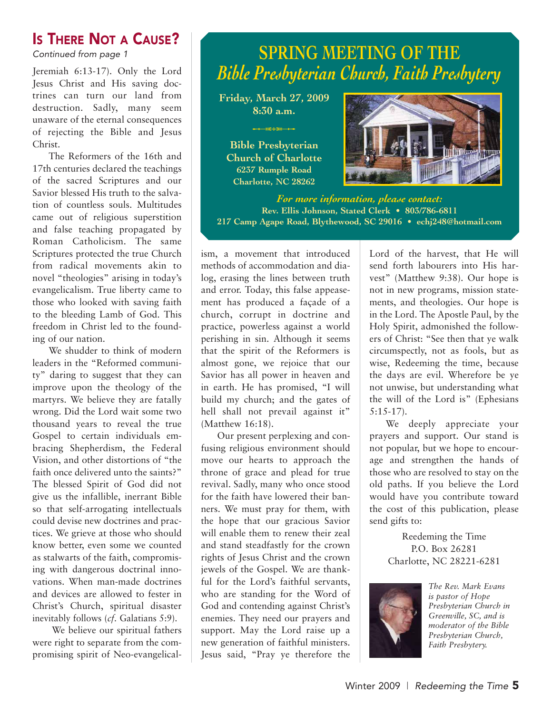#### IS THERE NOT A CAUSE?

Continued from page 1

Jeremiah 6:13-17). Only the Lord Jesus Christ and His saving doctrines can turn our land from destruction. Sadly, many seem unaware of the eternal consequences of rejecting the Bible and Jesus Christ.

The Reformers of the 16th and 17th centuries declared the teachings of the sacred Scriptures and our Savior blessed His truth to the salvation of countless souls. Multitudes came out of religious superstition and false teaching propagated by Roman Catholicism. The same Scriptures protected the true Church from radical movements akin to novel "theologies" arising in today's evangelicalism. True liberty came to those who looked with saving faith to the bleeding Lamb of God. This freedom in Christ led to the founding of our nation.

We shudder to think of modern leaders in the "Reformed community" daring to suggest that they can improve upon the theology of the martyrs. We believe they are fatally wrong. Did the Lord wait some two thousand years to reveal the true Gospel to certain individuals embracing Shepherdism, the Federal Vision, and other distortions of "the faith once delivered unto the saints?" The blessed Spirit of God did not give us the infallible, inerrant Bible so that self-arrogating intellectuals could devise new doctrines and practices. We grieve at those who should know better, even some we counted as stalwarts of the faith, compromising with dangerous doctrinal innovations. When man-made doctrines and devices are allowed to fester in Christ's Church, spiritual disaster inevitably follows (*cf.* Galatians 5:9).

We believe our spiritual fathers were right to separate from the compromising spirit of Neo-evangelical-

### **SPRING MEETING OF THE** *Bible Presbyterian Church, Faith Presbytery*

**Friday, March 27, 2009** -**8:30 a.m.**

**Bible Presbyterian Church of Charlotte 6237 Rumple Road Charlotte, NC 28262**



*For more information, please contact:* **Rev. Ellis Johnson, Stated Clerk • 803/786-6811 217 Camp Agape Road, Blythewood, SC 29016 • echj248@hotmail.com**

ism, a movement that introduced methods of accommodation and dialog, erasing the lines between truth and error. Today, this false appeasement has produced a façade of a church, corrupt in doctrine and practice, powerless against a world perishing in sin. Although it seems that the spirit of the Reformers is almost gone, we rejoice that our Savior has all power in heaven and in earth. He has promised, "I will build my church; and the gates of hell shall not prevail against it" (Matthew 16:18).

Our present perplexing and confusing religious environment should move our hearts to approach the throne of grace and plead for true revival. Sadly, many who once stood for the faith have lowered their banners. We must pray for them, with the hope that our gracious Savior will enable them to renew their zeal and stand steadfastly for the crown rights of Jesus Christ and the crown jewels of the Gospel. We are thankful for the Lord's faithful servants, who are standing for the Word of God and contending against Christ's enemies. They need our prayers and support. May the Lord raise up a new generation of faithful ministers. Jesus said, "Pray ye therefore the Lord of the harvest, that He will send forth labourers into His harvest" (Matthew 9:38). Our hope is not in new programs, mission statements, and theologies. Our hope is in the Lord. The Apostle Paul, by the Holy Spirit, admonished the followers of Christ: "See then that ye walk circumspectly, not as fools, but as wise, Redeeming the time, because the days are evil. Wherefore be ye not unwise, but understanding what the will of the Lord is" (Ephesians 5:15-17).

We deeply appreciate your prayers and support. Our stand is not popular, but we hope to encourage and strengthen the hands of those who are resolved to stay on the old paths. If you believe the Lord would have you contribute toward the cost of this publication, please send gifts to:

> Reedeming the Time P.O. Box 26281 Charlotte, NC 28221-6281



*The Rev. Mark Evans is pastor of Hope Presbyterian Church in Greenville, SC, and is moderator of the Bible Presbyterian Church, Faith Presbytery.*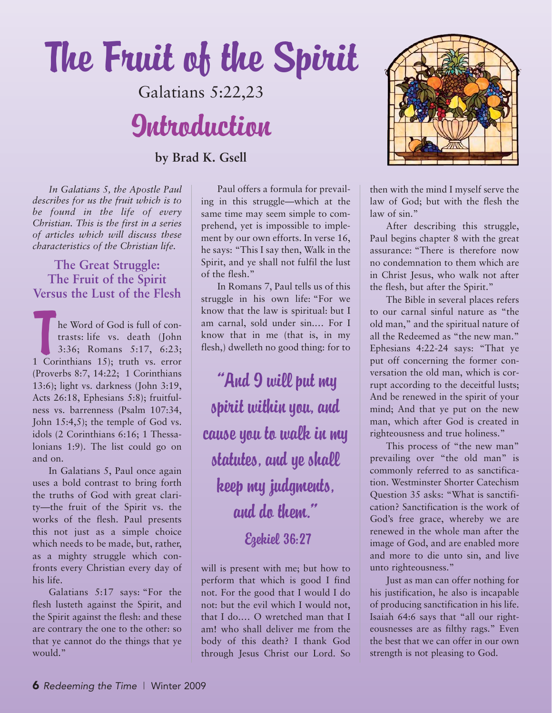# The Fruit of the Spirit

Galatians 5:22,23

### *<u>Outroduction</u>*

**by Brad K. Gsell**

*In Galatians 5, the Apostle Paul describes for us the fruit which is to be found in the life of every Christian. This is the first in a series of articles which will discuss these characteristics of the Christian life.*

#### **The Great Struggle: The Fruit of the Spirit Versus the Lust of the Flesh**

The Word of God is full of con-<br>
trasts: life vs. death (John<br>
3:36; Romans 5:17, 6:23;<br>
1 Corinthians 15); truth vs. error trasts: life vs. death (John 3:36; Romans 5:17, 6:23; (Proverbs 8:7, 14:22; 1 Corinthians 13:6); light vs. darkness (John 3:19, Acts 26:18, Ephesians 5:8); fruitfulness vs. barrenness (Psalm 107:34, John 15:4,5); the temple of God vs. idols (2 Corinthians 6:16; 1 Thessalonians 1:9). The list could go on and on.

In Galatians 5, Paul once again uses a bold contrast to bring forth the truths of God with great clarity—the fruit of the Spirit vs. the works of the flesh. Paul presents this not just as a simple choice which needs to be made, but, rather, as a mighty struggle which confronts every Christian every day of his life.

Galatians 5:17 says: "For the flesh lusteth against the Spirit, and the Spirit against the flesh: and these are contrary the one to the other: so that ye cannot do the things that ye would."

Paul offers a formula for prevailing in this struggle—which at the same time may seem simple to comprehend, yet is impossible to implement by our own efforts. In verse 16, he says: "This I say then, Walk in the Spirit, and ye shall not fulfil the lust of the flesh."

In Romans 7, Paul tells us of this struggle in his own life: "For we know that the law is spiritual: but I am carnal, sold under sin.… For I know that in me (that is, in my flesh,) dwelleth no good thing: for to

*"*And I will put my spirit within you, and cause you to walk in my statutes, and ye shall keep my judgments, and do them.*"* Ezekiel 36:27

will is present with me; but how to perform that which is good I find not. For the good that I would I do not: but the evil which I would not, that I do.… O wretched man that I am! who shall deliver me from the body of this death? I thank God through Jesus Christ our Lord. So



then with the mind I myself serve the law of God; but with the flesh the law of sin."

After describing this struggle, Paul begins chapter 8 with the great assurance: "There is therefore now no condemnation to them which are in Christ Jesus, who walk not after the flesh, but after the Spirit."

The Bible in several places refers to our carnal sinful nature as "the old man," and the spiritual nature of all the Redeemed as "the new man." Ephesians 4:22-24 says: "That ye put off concerning the former conversation the old man, which is corrupt according to the deceitful lusts; And be renewed in the spirit of your mind; And that ye put on the new man, which after God is created in righteousness and true holiness."

This process of "the new man" prevailing over "the old man" is commonly referred to as sanctification. Westminster Shorter Catechism Question 35 asks: "What is sanctification? Sanctification is the work of God's free grace, whereby we are renewed in the whole man after the image of God, and are enabled more and more to die unto sin, and live unto righteousness."

Just as man can offer nothing for his justification, he also is incapable of producing sanctification in his life. Isaiah 64:6 says that "all our righteousnesses are as filthy rags." Even the best that we can offer in our own strength is not pleasing to God.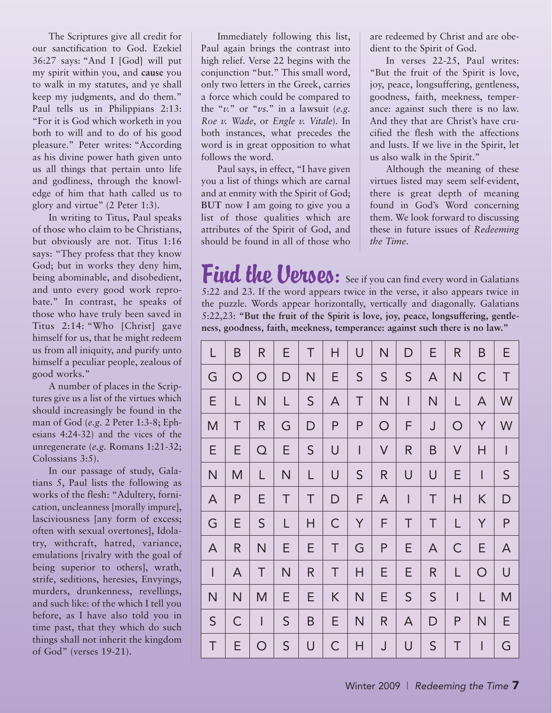The Scriptures give all credit for our sanctification to God. Ezekiel 36:27 says: "And I [God] will put my spirit within you, and **cause** you to walk in my statutes, and ye shall keep my judgments, and do them." Paul tells us in Philippians 2:13: "For it is God which worketh in you both to will and to do of his good pleasure." Peter writes: "According as his divine power hath given unto us all things that pertain unto life and godliness, through the knowledge of him that hath called us to glory and virtue" (2 Peter 1:3).

In writing to Titus, Paul speaks of those who claim to be Christians, but obviously are not. Titus 1:16 says: "They profess that they know God; but in works they deny him, being abominable, and disobedient, and unto every good work reprobate." In contrast, he speaks of those who have truly been saved in Titus 2:14: "Who [Christ] gave himself for us, that he might redeem us from all iniquity, and purify unto himself a peculiar people, zealous of good works."

A number of places in the Scrip tures give us a list of the virtues which should increasingly be found in the man of God (e.g. 2 Peter 1:3-8; Ephesians 4:24-32) and the vices of the unregenerate (*e.g.* Romans 1:21-32; Colossians 3:5).

In our passage of study, Galatians 5, Paul lists the following as works of the flesh: "Adultery, fornication, uncleanness [morally impure], lasciviousness [any form of excess; often with sexual overtones], Idola try, withcraft, hatred, variance, emulations [rivalry with the goal of being superior to others], wrath, strife, seditions, heresies, Envyings, murders, drunkenness, revellings, and such like: of the which I tell you before, as I have also told you in time past, that they which do such things shall not inherit the kingdom of God" (verses 19-21).

Immediately following this list, Paul again brings the contrast into high relief. Verse 22 begins with the conjunction "but." This small word, only two letters in the Greek, carries a force which could be compared to the "*v.*" or "*vs.*" in a lawsuit (*e.g. Roe v. Wade*, or *Engle v. Vitale*). In both instances, what precedes the word is in great opposition to what follows the word.

Paul says, in effect, "I have given you a list of things which are carnal and at enmity with the Spirit of God; **BUT** now I am going to give you a list of those qualities which are attributes of the Spirit of God, and should be found in all of those who are redeemed by Christ and are obedient to the Spirit of God.

In verses 22-25, Paul writes: "But the fruit of the Spirit is love, joy, peace, longsuffering, gentleness, goodness, faith, meekness, temperance: against such there is no law. And they that are Christ's have crucified the flesh with the affections and lusts. If we live in the Spirit, let us also walk in the Spirit."

Although the meaning of these virtues listed may seem self-evident, there is great depth of meaning found in God's Word concerning them. We look forward to discussing these in future issues of *Redeeming the Time*.

Find the Verses: See if you can find every word in Galatians 5:22 and 23. If the word appears twice in the verse, it also appears twice in the puzzle. Words appear horizontally, vertically and diagonally. Galatians 5:22,23: **"But the fruit of the Spirit is love, joy, peace, longsuffering, gentleness, goodness, faith, meekness, temperance: against such there is no law."**

| L | B            | $\mathsf{R}$ | E      | Τ | H            | U            | N              | D            | E | R              | B            | E                        |
|---|--------------|--------------|--------|---|--------------|--------------|----------------|--------------|---|----------------|--------------|--------------------------|
| G | $\bigcirc$   | $\bigcirc$   | D      | N | Е            | S            | S              | S            | A | N              | $\mathsf{C}$ | Τ                        |
| Ε | L            | N            | L      | S | A            | Τ            | N              | I            | N | L              | $\mathsf{A}$ | W                        |
| M | Τ            | $\mathsf{R}$ | G      | D | P            | $\mathsf{P}$ | $\overline{O}$ | F            | J | $\overline{O}$ | Y            | W                        |
| Ε | Ε            | $\Omega$     | Ε      | S | U            | I            | $\vee$         | $\mathsf{R}$ | B | V              | Н            | $\overline{\phantom{a}}$ |
| N | M            | L            | N      | L | U            | S            | $\mathsf{R}$   | U            | U | Ε              | I            | S                        |
| A | $\mathsf{P}$ | Е            | $\top$ | Τ | $\mathsf{D}$ | F            | A              | I            | Τ | Η              | K            | $\mathsf{D}$             |
| G | Ε            | $\mathsf{S}$ | L      | H | $\mathsf{C}$ | Y            | F              | Τ            | Τ | L              | Y            | $\mathsf{P}$             |
| A | R            | N            | Ε      | Ε | Τ            | G            | $\mathsf{P}$   | Ε            | A | C              | Ε            | A                        |
| I | A            | Τ            | N      | R | Τ            | H            | Ε              | Е            | R | L              | $\bigcirc$   | U                        |
| N | N            | M            | E      | E | K            | N            | E              | S            | S | I              | L            | M                        |
| S | $\mathsf C$  | I            | S      | B | Ε            | N            | $\mathsf{R}$   | A            | D | P              | N            | E                        |
| Τ | Е            | O            | S      | U | $\mathsf C$  | Η            | J              | U            | S | Τ              | I            | G                        |